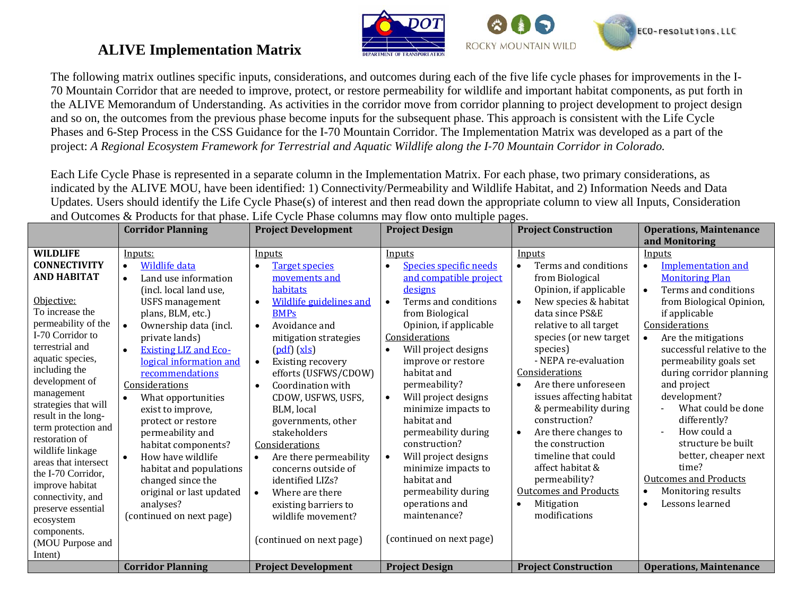

## **ALIVE Implementation Matrix**

The following matrix outlines specific inputs, considerations, and outcomes during each of the five life cycle phases for improvements in the I-70 Mountain Corridor that are needed to improve, protect, or restore permeability for wildlife and important habitat components, as put forth in the ALIVE Memorandum of Understanding. As activities in the corridor move from corridor planning to project development to project design and so on, the outcomes from the previous phase become inputs for the subsequent phase. This approach is consistent with the Life Cycle Phases and 6-Step Process in the CSS Guidance for the I-70 Mountain Corridor. The Implementation Matrix was developed as a part of the project: A Regional Ecosystem Framework for Terrestrial and Aquatic Wildlife along the I<sup>-70</sup> Mountain Corridor in Colorado.

Each Life Cycle Phase is represented in a separate column in the Implementation Matrix. For each phase, two primary considerations, as indicated by the ALIVE MOU, have been identified: 1) Connectivity/Permeability and Wildlife Habitat, and 2) Information Needs and Data Updates. Users should identify the Life Cycle Phase(s) of interest and then read down the appropriate column to view all Inputs, Consideration and Outcomes & Products for that phase. Life Cycle Phase columns may flow onto multiple pages.

|                                                                                                                                                                                                                                                                                                                                                                                                                                                                       | <b>Corridor Planning</b>                                                                                                                                                                                                                                                                                                                                                                                                                                                                                                                                                       | <b>Project Development</b>                                                                                                                                                                                                                                                                                                                                                                                                                                                                                                                                                   | <b>Project Design</b>                                                                                                                                                                                                                                                                                                                                                                                                                                                                                                                    | <b>Project Construction</b>                                                                                                                                                                                                                                                                                                                                                                                                                                                                                                      | <b>Operations, Maintenance</b>                                                                                                                                                                                                                                                                                                                                                                                                                                                      |
|-----------------------------------------------------------------------------------------------------------------------------------------------------------------------------------------------------------------------------------------------------------------------------------------------------------------------------------------------------------------------------------------------------------------------------------------------------------------------|--------------------------------------------------------------------------------------------------------------------------------------------------------------------------------------------------------------------------------------------------------------------------------------------------------------------------------------------------------------------------------------------------------------------------------------------------------------------------------------------------------------------------------------------------------------------------------|------------------------------------------------------------------------------------------------------------------------------------------------------------------------------------------------------------------------------------------------------------------------------------------------------------------------------------------------------------------------------------------------------------------------------------------------------------------------------------------------------------------------------------------------------------------------------|------------------------------------------------------------------------------------------------------------------------------------------------------------------------------------------------------------------------------------------------------------------------------------------------------------------------------------------------------------------------------------------------------------------------------------------------------------------------------------------------------------------------------------------|----------------------------------------------------------------------------------------------------------------------------------------------------------------------------------------------------------------------------------------------------------------------------------------------------------------------------------------------------------------------------------------------------------------------------------------------------------------------------------------------------------------------------------|-------------------------------------------------------------------------------------------------------------------------------------------------------------------------------------------------------------------------------------------------------------------------------------------------------------------------------------------------------------------------------------------------------------------------------------------------------------------------------------|
|                                                                                                                                                                                                                                                                                                                                                                                                                                                                       |                                                                                                                                                                                                                                                                                                                                                                                                                                                                                                                                                                                |                                                                                                                                                                                                                                                                                                                                                                                                                                                                                                                                                                              |                                                                                                                                                                                                                                                                                                                                                                                                                                                                                                                                          |                                                                                                                                                                                                                                                                                                                                                                                                                                                                                                                                  | and Monitoring                                                                                                                                                                                                                                                                                                                                                                                                                                                                      |
| <b>WILDLIFE</b><br><b>CONNECTIVITY</b><br><b>AND HABITAT</b><br>Objective:<br>To increase the<br>permeability of the<br>I-70 Corridor to<br>terrestrial and<br>aquatic species,<br>including the<br>development of<br>management<br>strategies that will<br>result in the long-<br>term protection and<br>restoration of<br>wildlife linkage<br>areas that intersect<br>the I-70 Corridor,<br>improve habitat<br>connectivity, and<br>preserve essential<br>ecosystem | Inputs:<br>Wildlife data<br>$\bullet$<br>Land use information<br>$\bullet$<br>(incl. local land use,<br><b>USFS</b> management<br>plans, BLM, etc.)<br>Ownership data (incl.<br>private lands)<br><b>Existing LIZ and Eco-</b><br>logical information and<br>recommendations<br>Considerations<br>What opportunities<br>$\bullet$<br>exist to improve,<br>protect or restore<br>permeability and<br>habitat components?<br>How have wildlife<br>$\bullet$<br>habitat and populations<br>changed since the<br>original or last updated<br>analyses?<br>(continued on next page) | Inputs<br><b>Target species</b><br>$\bullet$<br>movements and<br>habitats<br><b>Wildlife guidelines and</b><br><b>BMPs</b><br>Avoidance and<br>$\bullet$<br>mitigation strategies<br>$(\underline{pdf}) (\underline{x} \underline{l} \underline{s})$<br><b>Existing recovery</b><br>$\bullet$<br>efforts (USFWS/CDOW)<br>Coordination with<br>CDOW, USFWS, USFS,<br>BLM, local<br>governments, other<br>stakeholders<br>Considerations<br>Are there permeability<br>concerns outside of<br>identified LIZs?<br>Where are there<br>existing barriers to<br>wildlife movement? | Inputs<br>Species specific needs<br>$\bullet$<br>and compatible project<br>designs<br>Terms and conditions<br>$\bullet$<br>from Biological<br>Opinion, if applicable<br>Considerations<br>Will project designs<br>$\bullet$<br>improve or restore<br>habitat and<br>permeability?<br>Will project designs<br>$\bullet$<br>minimize impacts to<br>habitat and<br>permeability during<br>construction?<br>Will project designs<br>$\bullet$<br>minimize impacts to<br>habitat and<br>permeability during<br>operations and<br>maintenance? | Inputs<br>Terms and conditions<br>$\bullet$<br>from Biological<br>Opinion, if applicable<br>New species & habitat<br>data since PS&E<br>relative to all target<br>species (or new target<br>species)<br>- NEPA re-evaluation<br>Considerations<br>Are there unforeseen<br>issues affecting habitat<br>& permeability during<br>construction?<br>Are there changes to<br>the construction<br>timeline that could<br>affect habitat &<br>permeability?<br><b>Outcomes and Products</b><br>Mitigation<br>$\bullet$<br>modifications | Inputs<br><b>Implementation and</b><br><b>Monitoring Plan</b><br>Terms and conditions<br>from Biological Opinion,<br>if applicable<br>Considerations<br>Are the mitigations<br>successful relative to the<br>permeability goals set<br>during corridor planning<br>and project<br>development?<br>What could be done<br>differently?<br>How could a<br>structure be built<br>better, cheaper next<br>time?<br><b>Outcomes and Products</b><br>Monitoring results<br>Lessons learned |
| components.<br>(MOU Purpose and<br>Intent)                                                                                                                                                                                                                                                                                                                                                                                                                            |                                                                                                                                                                                                                                                                                                                                                                                                                                                                                                                                                                                | (continued on next page)                                                                                                                                                                                                                                                                                                                                                                                                                                                                                                                                                     | (continued on next page)                                                                                                                                                                                                                                                                                                                                                                                                                                                                                                                 |                                                                                                                                                                                                                                                                                                                                                                                                                                                                                                                                  |                                                                                                                                                                                                                                                                                                                                                                                                                                                                                     |
|                                                                                                                                                                                                                                                                                                                                                                                                                                                                       | <b>Corridor Planning</b>                                                                                                                                                                                                                                                                                                                                                                                                                                                                                                                                                       | <b>Project Development</b>                                                                                                                                                                                                                                                                                                                                                                                                                                                                                                                                                   | <b>Project Design</b>                                                                                                                                                                                                                                                                                                                                                                                                                                                                                                                    | <b>Project Construction</b>                                                                                                                                                                                                                                                                                                                                                                                                                                                                                                      | <b>Operations, Maintenance</b>                                                                                                                                                                                                                                                                                                                                                                                                                                                      |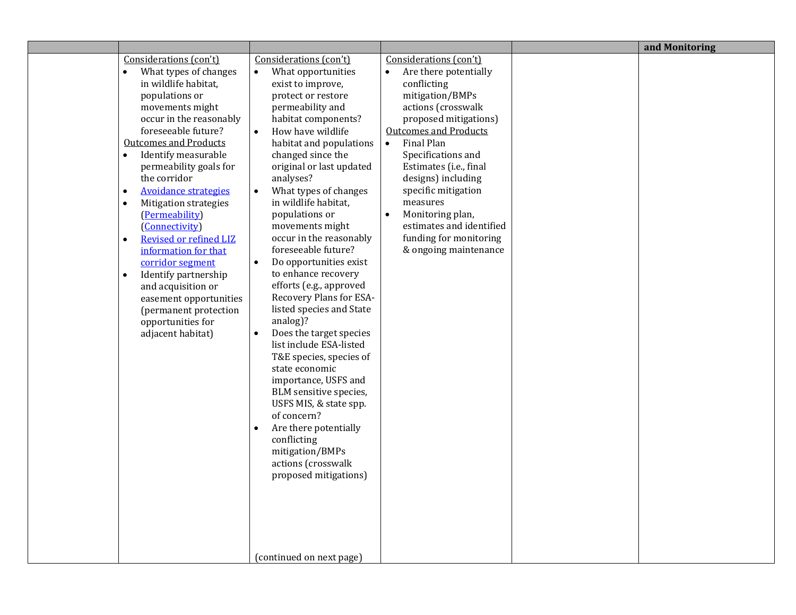|                                                                                                                                                                                                                                                                                                                                                                                                                                                                                                                                                                                                                                                                   |                                                                                                                                                                                                                                                                                                                                                                                                                                                                                                                                                                                                                                                                                                                                                                                                                                                                                                                                              |                                                                                                                                                                                                                                                                                                                                                                                                                                   | and Monitoring |
|-------------------------------------------------------------------------------------------------------------------------------------------------------------------------------------------------------------------------------------------------------------------------------------------------------------------------------------------------------------------------------------------------------------------------------------------------------------------------------------------------------------------------------------------------------------------------------------------------------------------------------------------------------------------|----------------------------------------------------------------------------------------------------------------------------------------------------------------------------------------------------------------------------------------------------------------------------------------------------------------------------------------------------------------------------------------------------------------------------------------------------------------------------------------------------------------------------------------------------------------------------------------------------------------------------------------------------------------------------------------------------------------------------------------------------------------------------------------------------------------------------------------------------------------------------------------------------------------------------------------------|-----------------------------------------------------------------------------------------------------------------------------------------------------------------------------------------------------------------------------------------------------------------------------------------------------------------------------------------------------------------------------------------------------------------------------------|----------------|
| Considerations (con't)<br>$\bullet$<br>What types of changes<br>in wildlife habitat,<br>populations or<br>movements might<br>occur in the reasonably<br>foreseeable future?<br><b>Outcomes and Products</b><br>Identify measurable<br>$\bullet$<br>permeability goals for<br>the corridor<br><b>Avoidance strategies</b><br>$\bullet$<br>$\bullet$<br><b>Mitigation strategies</b><br>(Permeability)<br>(Connectivity)<br>Revised or refined LIZ<br>$\bullet$<br>information for that<br>corridor segment<br>Identify partnership<br>$\bullet$<br>and acquisition or<br>easement opportunities<br>(permanent protection<br>opportunities for<br>adjacent habitat) | Considerations (con't)<br>What opportunities<br>$\bullet$<br>exist to improve,<br>protect or restore<br>permeability and<br>habitat components?<br>How have wildlife<br>$\bullet$<br>habitat and populations<br>changed since the<br>original or last updated<br>analyses?<br>What types of changes<br>$\bullet$<br>in wildlife habitat,<br>populations or<br>movements might<br>occur in the reasonably<br>foreseeable future?<br>Do opportunities exist<br>$\bullet$<br>to enhance recovery<br>efforts (e.g., approved<br>Recovery Plans for ESA-<br>listed species and State<br>analog)?<br>Does the target species<br>list include ESA-listed<br>T&E species, species of<br>state economic<br>importance, USFS and<br>BLM sensitive species,<br>USFS MIS, & state spp.<br>of concern?<br>Are there potentially<br>$\bullet$<br>conflicting<br>mitigation/BMPs<br>actions (crosswalk<br>proposed mitigations)<br>(continued on next page) | Considerations (con't)<br>$\bullet$<br>Are there potentially<br>conflicting<br>mitigation/BMPs<br>actions (crosswalk<br>proposed mitigations)<br><b>Outcomes and Products</b><br>Final Plan<br>$\bullet$<br>Specifications and<br>Estimates (i.e., final<br>designs) including<br>specific mitigation<br>measures<br>Monitoring plan,<br>$\bullet$<br>estimates and identified<br>funding for monitoring<br>& ongoing maintenance |                |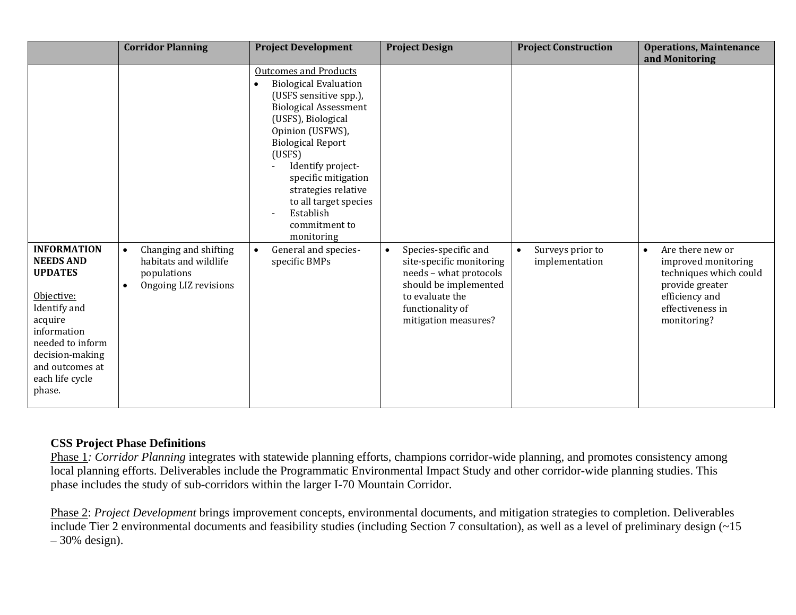|                                                                                                                                                                                                         | <b>Corridor Planning</b>                                                                            | <b>Project Development</b>                                                                                                                                                                                                                                                                                                                                                              | <b>Project Design</b>                                                                                                                                                           | <b>Project Construction</b>                     | <b>Operations, Maintenance</b><br>and Monitoring                                                                                                       |
|---------------------------------------------------------------------------------------------------------------------------------------------------------------------------------------------------------|-----------------------------------------------------------------------------------------------------|-----------------------------------------------------------------------------------------------------------------------------------------------------------------------------------------------------------------------------------------------------------------------------------------------------------------------------------------------------------------------------------------|---------------------------------------------------------------------------------------------------------------------------------------------------------------------------------|-------------------------------------------------|--------------------------------------------------------------------------------------------------------------------------------------------------------|
| <b>INFORMATION</b><br><b>NEEDS AND</b><br><b>UPDATES</b><br>Objective:<br>Identify and<br>acquire<br>information<br>needed to inform<br>decision-making<br>and outcomes at<br>each life cycle<br>phase. | Changing and shifting<br>habitats and wildlife<br>populations<br>Ongoing LIZ revisions<br>$\bullet$ | <b>Outcomes and Products</b><br><b>Biological Evaluation</b><br>(USFS sensitive spp.),<br><b>Biological Assessment</b><br>(USFS), Biological<br>Opinion (USFWS),<br><b>Biological Report</b><br>(USFS)<br>Identify project-<br>specific mitigation<br>strategies relative<br>to all target species<br>Establish<br>commitment to<br>monitoring<br>General and species-<br>specific BMPs | Species-specific and<br>$\bullet$<br>site-specific monitoring<br>needs - what protocols<br>should be implemented<br>to evaluate the<br>functionality of<br>mitigation measures? | Surveys prior to<br>$\bullet$<br>implementation | Are there new or<br>$\bullet$<br>improved monitoring<br>techniques which could<br>provide greater<br>efficiency and<br>effectiveness in<br>monitoring? |

## **CSS Project Phase Definitions**

Phase 1*: Corridor Planning* integrates with statewide planning efforts, champions corridor-wide planning, and promotes consistency among local planning efforts. Deliverables include the Programmatic Environmental Impact Study and other corridor-wide planning studies. This phase includes the study of sub-corridors within the larger I-70 Mountain Corridor.

Phase 2: *Project Development* brings improvement concepts, environmental documents, and mitigation strategies to completion. Deliverables include Tier 2 environmental documents and feasibility studies (including Section 7 consultation), as well as a level of preliminary design (~15  $-30\%$  design).